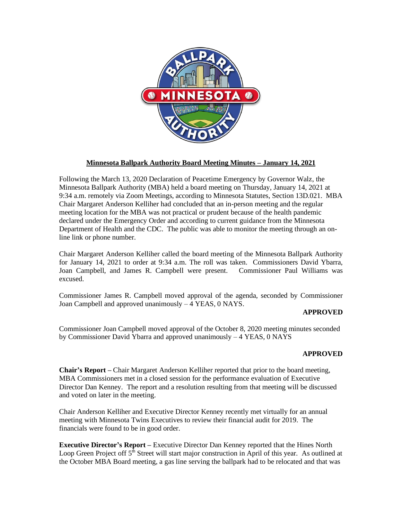

# **Minnesota Ballpark Authority Board Meeting Minutes – January 14, 2021**

Following the March 13, 2020 Declaration of Peacetime Emergency by Governor Walz, the Minnesota Ballpark Authority (MBA) held a board meeting on Thursday, January 14, 2021 at 9:34 a.m. remotely via Zoom Meetings, according to Minnesota Statutes, Section 13D.021. MBA Chair Margaret Anderson Kelliher had concluded that an in-person meeting and the regular meeting location for the MBA was not practical or prudent because of the health pandemic declared under the Emergency Order and according to current guidance from the Minnesota Department of Health and the CDC. The public was able to monitor the meeting through an online link or phone number.

Chair Margaret Anderson Kelliher called the board meeting of the Minnesota Ballpark Authority for January 14, 2021 to order at 9:34 a.m. The roll was taken. Commissioners David Ybarra, Joan Campbell, and James R. Campbell were present. Commissioner Paul Williams was excused.

Commissioner James R. Campbell moved approval of the agenda, seconded by Commissioner Joan Campbell and approved unanimously – 4 YEAS, 0 NAYS.

### **APPROVED**

Commissioner Joan Campbell moved approval of the October 8, 2020 meeting minutes seconded by Commissioner David Ybarra and approved unanimously – 4 YEAS, 0 NAYS

### **APPROVED**

**Chair's Report –** Chair Margaret Anderson Kelliher reported that prior to the board meeting, MBA Commissioners met in a closed session for the performance evaluation of Executive Director Dan Kenney. The report and a resolution resulting from that meeting will be discussed and voted on later in the meeting.

Chair Anderson Kelliher and Executive Director Kenney recently met virtually for an annual meeting with Minnesota Twins Executives to review their financial audit for 2019. The financials were found to be in good order.

**Executive Director's Report –** Executive Director Dan Kenney reported that the Hines North Loop Green Project off  $5^{\overline{n}}$  Street will start major construction in April of this year. As outlined at the October MBA Board meeting, a gas line serving the ballpark had to be relocated and that was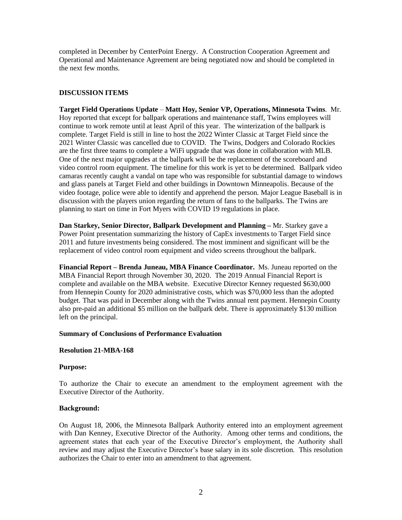completed in December by CenterPoint Energy. A Construction Cooperation Agreement and Operational and Maintenance Agreement are being negotiated now and should be completed in the next few months.

## **DISCUSSION ITEMS**

**Target Field Operations Update** – **Matt Hoy, Senior VP, Operations, Minnesota Twins**. Mr. Hoy reported that except for ballpark operations and maintenance staff, Twins employees will continue to work remote until at least April of this year. The winterization of the ballpark is complete. Target Field is still in line to host the 2022 Winter Classic at Target Field since the 2021 Winter Classic was cancelled due to COVID. The Twins, Dodgers and Colorado Rockies are the first three teams to complete a WiFi upgrade that was done in collaboration with MLB. One of the next major upgrades at the ballpark will be the replacement of the scoreboard and video control room equipment. The timeline for this work is yet to be determined. Ballpark video camaras recently caught a vandal on tape who was responsible for substantial damage to windows and glass panels at Target Field and other buildings in Downtown Minneapolis. Because of the video footage, police were able to identify and apprehend the person. Major League Baseball is in discussion with the players union regarding the return of fans to the ballparks. The Twins are planning to start on time in Fort Myers with COVID 19 regulations in place.

**Dan Starkey, Senior Director, Ballpark Development and Planning –** Mr. Starkey gave a Power Point presentation summarizing the history of CapEx investments to Target Field since 2011 and future investments being considered. The most imminent and significant will be the replacement of video control room equipment and video screens throughout the ballpark.

**Financial Report – Brenda Juneau, MBA Finance Coordinator.** Ms. Juneau reported on the MBA Financial Report through November 30, 2020. The 2019 Annual Financial Report is complete and available on the MBA website. Executive Director Kenney requested \$630,000 from Hennepin County for 2020 administrative costs, which was \$70,000 less than the adopted budget. That was paid in December along with the Twins annual rent payment. Hennepin County also pre-paid an additional \$5 million on the ballpark debt. There is approximately \$130 million left on the principal.

### **Summary of Conclusions of Performance Evaluation**

### **Resolution 21-MBA-168**

### **Purpose:**

To authorize the Chair to execute an amendment to the employment agreement with the Executive Director of the Authority.

### **Background:**

On August 18, 2006, the Minnesota Ballpark Authority entered into an employment agreement with Dan Kenney, Executive Director of the Authority. Among other terms and conditions, the agreement states that each year of the Executive Director's employment, the Authority shall review and may adjust the Executive Director's base salary in its sole discretion. This resolution authorizes the Chair to enter into an amendment to that agreement.